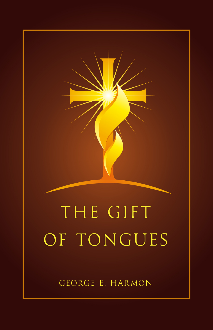GEORGE E. HARMON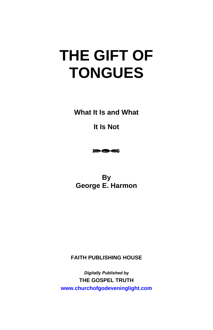**What It Is and What** 

**It Is Not** 



**By George E. Harmon** 

**FAITH PUBLISHING HOUSE** 

*Digitally Published by*  **THE GOSPEL TRUTH www.churchofgodeveninglight.com**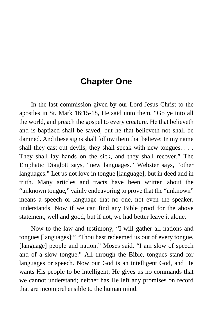# **Chapter One**

In the last commission given by our Lord Jesus Christ to the apostles in St. Mark 16:15-18, He said unto them, "Go ye into all the world, and preach the gospel to every creature. He that believeth and is baptized shall be saved; but he that believeth not shall be damned. And these signs shall follow them that believe; In my name shall they cast out devils; they shall speak with new tongues. . . . They shall lay hands on the sick, and they shall recover." The Emphatic Diaglott says, "new languages." Webster says, "other languages." Let us not love in tongue [language], but in deed and in truth. Many articles and tracts have been written about the "unknown tongue," vainly endeavoring to prove that the "unknown" means a speech or language that no one, not even the speaker, understands. Now if we can find any Bible proof for the above statement, well and good, but if not, we had better leave it alone.

Now to the law and testimony, "I will gather all nations and tongues [languages];" "Thou hast redeemed us out of every tongue, [language] people and nation." Moses said, "I am slow of speech and of a slow tongue." All through the Bible, tongues stand for languages or speech. Now our God is an intelligent God, and He wants His people to be intelligent; He gives us no commands that we cannot understand; neither has He left any promises on record that are incomprehensible to the human mind.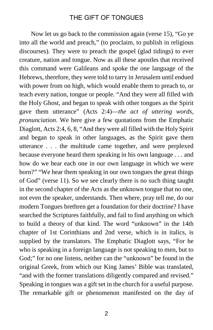Now let us go back to the commission again (verse 15), "Go ye into all the world and preach," (to proclaim, to publish in religious discourses). They were to preach the gospel (glad tidings) to ever creature, nation and tongue. Now as all these apostles that received this command were Galileans and spoke the one language of the Hebrews, therefore, they were told to tarry in Jerusalem until endued with power from on high, which would enable them to preach to, or teach every nation, tongue or people. "And they were all filled with the Holy Ghost, and began to speak with other tongues as the Spirit gave them utterance" (Acts 2:4)—*the act of uttering words, pronunciation*. We here give a few quotations from the Emphatic Diaglott, Acts 2:4, 6, 8, "And they were all filled with the Holy Spirit and began to speak in other languages, as the Spirit gave them utterance . . . the multitude came together, and were perplexed because everyone heard them speaking in his own language . . . and how do we hear each one in our own language in which we were born?" "We hear them speaking in our own tongues the great things of God" (verse 11). So we see clearly there is no such thing taught in the second chapter of the Acts as the unknown tongue that no one, not even the speaker, understands. Then where, pray tell me, do our modern Tongues brethren get a foundation for their doctrine? I have searched the Scriptures faithfully, and fail to find anything on which to build a theory of that kind. The word "unknown" in the 14th chapter of 1st Corinthians and 2nd verse, which is in italics, is supplied by the translators. The Emphatic Diaglott says, "For he who is speaking in a foreign language is not speaking to men, but to God;" for no one listens, neither can the "unknown" be found in the original Greek, from which our King James' Bible was translated, "and with the former translations diligently compared and revised." Speaking in tongues was a gift set in the church for a useful purpose. The remarkable gift or phenomenon manifested on the day of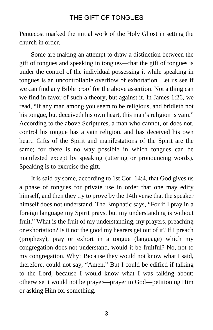Pentecost marked the initial work of the Holy Ghost in setting the church in order.

Some are making an attempt to draw a distinction between the gift of tongues and speaking in tongues—that the gift of tongues is under the control of the individual possessing it while speaking in tongues is an uncontrollable overflow of exhortation. Let us see if we can find any Bible proof for the above assertion. Not a thing can we find in favor of such a theory, but against it. In James 1:26, we read, "If any man among you seem to be religious, and bridleth not his tongue, but deceiveth his own heart, this man's religion is vain." According to the above Scriptures, a man who cannot, or does not, control his tongue has a vain religion, and has deceived his own heart. Gifts of the Spirit and manifestations of the Spirit are the same; for there is no way possible in which tongues can be manifested except by speaking (uttering or pronouncing words). Speaking is to exercise the gift.

It is said by some, according to 1st Cor. 14:4, that God gives us a phase of tongues for private use in order that one may edify himself, and then they try to prove by the 14th verse that the speaker himself does not understand. The Emphatic says, "For if I pray in a foreign language my Spirit prays, but my understanding is without fruit." What is the fruit of my understanding, my prayers, preaching or exhortation? Is it not the good my hearers get out of it? If I preach (prophesy), pray or exhort in a tongue (language) which my congregation does not understand, would it be fruitful? No, not to my congregation. Why? Because they would not know what I said, therefore, could not say, "Amen." But I could be edified if talking to the Lord, because I would know what I was talking about; otherwise it would not be prayer—prayer to God—petitioning Him or asking Him for something.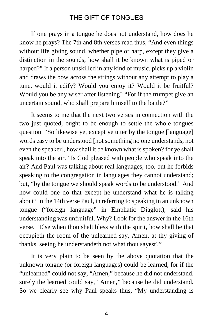If one prays in a tongue he does not understand, how does he know he prays? The 7th and 8th verses read thus, "And even things without life giving sound, whether pipe or harp, except they give a distinction in the sounds, how shall it be known what is piped or harped?" If a person unskilled in any kind of music, picks up a violin and draws the bow across the strings without any attempt to play a tune, would it edify? Would you enjoy it? Would it be fruitful? Would you be any wiser after listening? "For if the trumpet give an uncertain sound, who shall prepare himself to the battle?"

It seems to me that the next two verses in connection with the two just quoted, ought to be enough to settle the whole tongues question. "So likewise ye, except ye utter by the tongue [language] words easy to be understood [not something no one understands, not even the speaker], how shall it be known what is spoken? for ye shall speak into the air." Is God pleased with people who speak into the air? And Paul was talking about real languages, too, but he forbids speaking to the congregation in languages they cannot understand; but, "by the tongue we should speak words to be understood." And how could one do that except he understand what he is talking about? In the 14th verse Paul, in referring to speaking in an unknown tongue ("foreign language" in Emphatic Diaglott), said his understanding was unfruitful. Why? Look for the answer in the 16th verse. "Else when thou shalt bless with the spirit, how shall he that occupieth the room of the unlearned say, Amen, at thy giving of thanks, seeing he understandeth not what thou sayest?"

It is very plain to be seen by the above quotation that the unknown tongue (or foreign languages) could be learned, for if the "unlearned" could not say, "Amen," because he did not understand, surely the learned could say, "Amen," because he did understand. So we clearly see why Paul speaks thus, "My understanding is

4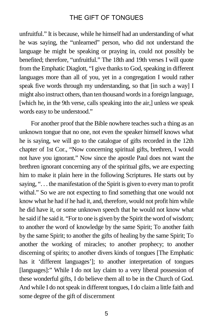unfruitful." It is because, while he himself had an understanding of what he was saying, the "unlearned" person, who did not understand the language he might be speaking or praying in, could not possibly be benefited; therefore, "unfruitful." The 18th and 19th verses I will quote from the Emphatic Diaglott, "I give thanks to God, speaking in different languages more than all of you, yet in a congregation I would rather speak five words through my understanding, so that [in such a way] I might also instruct others, than ten thousand words in a foreign language, [which he, in the 9th verse, calls speaking into the air,] unless we speak words easy to be understood."

For another proof that the Bible nowhere teaches such a thing as an unknown tongue that no one, not even the speaker himself knows what he is saying, we will go to the catalogue of gifts recorded in the 12th chapter of 1st Cor., "Now concerning spiritual gifts, brethren, I would not have you ignorant." Now since the apostle Paul does not want the brethren ignorant concerning any of the spiritual gifts, we are expecting him to make it plain here in the following Scriptures. He starts out by saying, ". . . the manifestation of the Spirit is given to every man to profit withal." So we are not expecting to find something that one would not know what he had if he had it, and, therefore, would not profit him while he did have it, or some unknown speech that he would not know what he said if he said it. "For to one is given by the Spirit the word of wisdom; to another the word of knowledge by the same Spirit; To another faith by the same Spirit; to another the gifts of healing by the same Spirit; To another the working of miracles; to another prophecy; to another discerning of spirits; to another divers kinds of tongues [The Emphatic has it 'different languages']; to another interpretation of tongues [languages]:" While I do not lay claim to a very liberal possession of these wonderful gifts, I do believe them all to be in the Church of God. And while I do not speak in different tongues, I do claim a little faith and some degree of the gift of discernment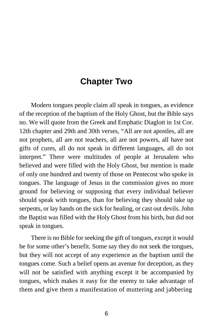# **Chapter Two**

Modern tongues people claim all speak in tongues, as evidence of the reception of the baptism of the Holy Ghost, but the Bible says no. We will quote from the Greek and Emphatic Diaglott in 1st Cor. 12th chapter and 29th and 30th verses, "All are not apostles, all are not prophets, all are not teachers, all are not powers, all have not gifts of cures, all do not speak in different languages, all do not interpret." There were multitudes of people at Jerusalem who believed and were filled with the Holy Ghost, but mention is made of only one hundred and twenty of those on Pentecost who spoke in tongues. The language of Jesus in the commission gives no more ground for believing or supposing that every individual believer should speak with tongues, than for believing they should take up serpents, or lay hands on the sick for healing, or cast out devils. John the Baptist was filled with the Holy Ghost from his birth, but did not speak in tongues.

There is no Bible for seeking the gift of tongues, except it would be for some other's benefit. Some say they do not seek the tongues, but they will not accept of any experience as the baptism until the tongues come. Such a belief opens an avenue for deception, as they will not be satisfied with anything except it be accompanied by tongues, which makes it easy for the enemy to take advantage of them and give them a manifestation of muttering and jabbering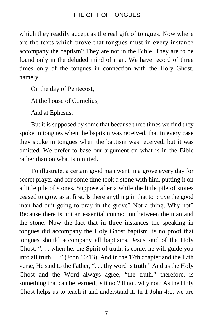which they readily accept as the real gift of tongues. Now where are the texts which prove that tongues must in every instance accompany the baptism? They are not in the Bible. They are to be found only in the deluded mind of man. We have record of three times only of the tongues in connection with the Holy Ghost, namely:

On the day of Pentecost,

At the house of Cornelius,

And at Ephesus.

But it is supposed by some that because three times we find they spoke in tongues when the baptism was received, that in every case they spoke in tongues when the baptism was received, but it was omitted. We prefer to base our argument on what is in the Bible rather than on what is omitted.

To illustrate, a certain good man went in a grove every day for secret prayer and for some time took a stone with him, putting it on a little pile of stones. Suppose after a while the little pile of stones ceased to grow as at first. Is there anything in that to prove the good man had quit going to pray in the grove? Not a thing. Why not? Because there is not an essential connection between the man and the stone. Now the fact that in three instances the speaking in tongues did accompany the Holy Ghost baptism, is no proof that tongues should accompany all baptisms. Jesus said of the Holy Ghost, ". . . when he, the Spirit of truth, is come, he will guide you into all truth . . ." (John 16:13). And in the 17th chapter and the 17th verse, He said to the Father, ". . . thy word is truth." And as the Holy Ghost and the Word always agree, "the truth," therefore, is something that can be learned, is it not? If not, why not? As the Holy Ghost helps us to teach it and understand it. In 1 John 4:1, we are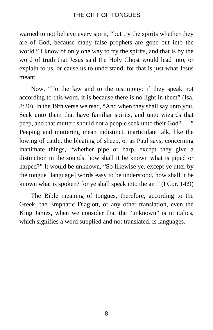warned to not believe every spirit, "but try the spirits whether they are of God, because many false prophets are gone out into the world." I know of only one way to try the spirits, and that is by the word of truth that Jesus said the Holy Ghost would lead into, or explain to us, or cause us to understand, for that is just what Jesus meant.

Now, "To the law and to the testimony: if they speak not according to this word, it is because there is no light in them" (Isa. 8:20). In the 19th verse we read, "And when they shall say unto you, Seek unto them that have familiar spirits, and unto wizards that peep, and that mutter: should not a people seek unto their God? . . ." Peeping and muttering mean indistinct, inarticulate talk, like the lowing of cattle, the bleating of sheep, or as Paul says, concerning inanimate things, "whether pipe or harp, except they give a distinction in the sounds, how shall it be known what is piped or harped?" It would be unknown, "So likewise ye, except ye utter by the tongue [language] words easy to be understood, how shall it be known what is spoken? for ye shall speak into the air." (I Cor. 14:9)

The Bible meaning of tongues, therefore, according to the Greek, the Emphatic Diaglott, or any other translation, even the King James, when we consider that the "unknown" is in italics, which signifies a word supplied and not translated, is languages.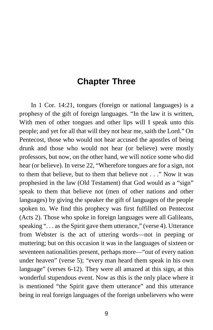# **Chapter Three**

In 1 Cor. 14:21, tongues (foreign or national languages) is a prophesy of the gift of foreign languages. "In the law it is written, With men of other tongues and other lips will I speak unto this people; and yet for all that will they not hear me, saith the Lord." On Pentecost, those who would not hear accused the apostles of being drunk and those who would not hear (or believe) were mostly professors, but now, on the other hand, we will notice some who did hear (or believe). In verse 22, "Wherefore tongues are for a sign, not to them that believe, but to them that believe not . . ." Now it was prophesied in the law (Old Testament) that God would as a "sign" speak to them that believe not (men of other nations and other languages) by giving the speaker the gift of languages of the people spoken to. We find this prophecy was first fulfilled on Pentecost (Acts 2). Those who spoke in foreign languages were all Galileans, speaking "... as the Spirit gave them utterance," (verse 4). Utterance from Webster is the act of uttering words—not in peeping or muttering; but on this occasion it was in the languages of sixteen or seventeen nationalities present, perhaps more—"out of every nation under heaven" (verse 5); "every man heard them speak in his own language" (verses 6-12). They were all amazed at this sign, at this wonderful stupendous event. Now as this is the only place where it is mentioned "the Spirit gave them utterance" and this utterance being in real foreign languages of the foreign unbelievers who were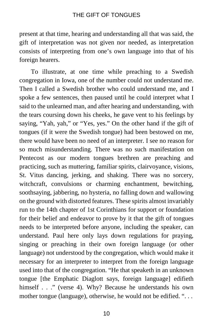present at that time, hearing and understanding all that was said, the gift of interpretation was not given nor needed, as interpretation consists of interpreting from one's own language into that of his foreign hearers.

To illustrate, at one time while preaching to a Swedish congregation in Iowa, one of the number could not understand me. Then I called a Swedish brother who could understand me, and I spoke a few sentences, then paused until he could interpret what I said to the unlearned man, and after hearing and understanding, with the tears coursing down his cheeks, he gave vent to his feelings by saying, "Yah, yah," or "Yes, yes." On the other hand if the gift of tongues (if it were the Swedish tongue) had been bestowed on me, there would have been no need of an interpreter. I see no reason for so much misunderstanding. There was no such manifestation on Pentecost as our modern tongues brethren are preaching and practicing, such as muttering, familiar spirits, clairvoyance, visions, St. Vitus dancing, jerking, and shaking. There was no sorcery, witchcraft, convulsions or charming enchantment, bewitching, soothsaying, jabbering, no hysteria, no falling down and wallowing on the ground with distorted features. These spirits almost invariably run to the 14th chapter of 1st Corinthians for support or foundation for their belief and endeavor to prove by it that the gift of tongues needs to be interpreted before anyone, including the speaker, can understand. Paul here only lays down regulations for praying, singing or preaching in their own foreign language (or other language) not understood by the congregation, which would make it necessary for an interpreter to interpret from the foreign language used into that of the congregation. "He that speaketh in an unknown tongue [the Emphatic Diaglott says, foreign language] edifieth himself . . ." (verse 4). Why? Because he understands his own mother tongue (language), otherwise, he would not be edified. "...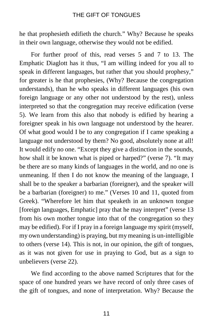he that prophesieth edifieth the church." Why? Because he speaks in their own language, otherwise they would not be edified.

For further proof of this, read verses 5 and 7 to 13. The Emphatic Diaglott has it thus, "I am willing indeed for you all to speak in different languages, but rather that you should prophesy," for greater is he that prophesies, (Why? Because the congregation understands), than he who speaks in different languages (his own foreign language or any other not understood by the rest), unless interpreted so that the congregation may receive edification (verse 5). We learn from this also that nobody is edified by hearing a foreigner speak in his own language not understood by the hearer. Of what good would I be to any congregation if I came speaking a language not understood by them? No good, absolutely none at all! It would edify no one. "Except they give a distinction in the sounds, how shall it be known what is piped or harped?" (verse 7). "It may be there are so many kinds of languages in the world, and no one is unmeaning. If then I do not know the meaning of the language, I shall be to the speaker a barbarian (foreigner), and the speaker will be a barbarian (foreigner) to me." (Verses 10 and 11, quoted from Greek). "Wherefore let him that speaketh in an unknown tongue [foreign languages, Emphatic] pray that he may interpret" (verse 13 from his own mother tongue into that of the congregation so they may be edified). For if I pray in a foreign language my spirit (myself, my own understanding) is praying, but my meaning is un-intelligible to others (verse 14). This is not, in our opinion, the gift of tongues, as it was not given for use in praying to God, but as a sign to unbelievers (verse 22).

We find according to the above named Scriptures that for the space of one hundred years we have record of only three cases of the gift of tongues, and none of interpretation. Why? Because the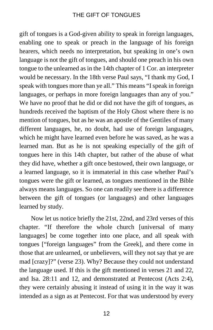gift of tongues is a God-given ability to speak in foreign languages, enabling one to speak or preach in the language of his foreign hearers, which needs no interpretation, but speaking in one's own language is not the gift of tongues, and should one preach in his own tongue to the unlearned as in the 14th chapter of 1 Cor. an interpreter would be necessary. In the 18th verse Paul says, "I thank my God, I speak with tongues more than ye all." This means "I speak in foreign languages, or perhaps in more foreign languages than any of you." We have no proof that he did or did not have the gift of tongues, as hundreds received the baptism of the Holy Ghost where there is no mention of tongues, but as he was an apostle of the Gentiles of many different languages, he, no doubt, had use of foreign languages, which he might have learned even before he was saved, as he was a learned man. But as he is not speaking especially of the gift of tongues here in this 14th chapter, but rather of the abuse of what they did have, whether a gift once bestowed, their own language, or a learned language, so it is immaterial in this case whether Paul's tongues were the gift or learned, as tongues mentioned in the Bible always means languages. So one can readily see there is a difference between the gift of tongues (or languages) and other languages learned by study.

Now let us notice briefly the 21st, 22nd, and 23rd verses of this chapter. "If therefore the whole church [universal of many languages] be come together into one place, and all speak with tongues ["foreign languages" from the Greek], and there come in those that are unlearned, or unbelievers, will they not say that ye are mad [crazy]?" (verse 23). Why? Because they could not understand the language used. If this is the gift mentioned in verses 21 and 22, and Isa. 28:11 and 12, and demonstrated at Pentecost (Acts 2:4), they were certainly abusing it instead of using it in the way it was intended as a sign as at Pentecost. For that was understood by every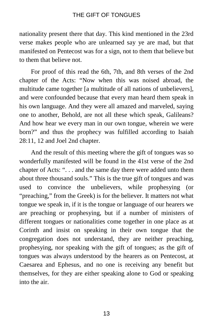nationality present there that day. This kind mentioned in the 23rd verse makes people who are unlearned say ye are mad, but that manifested on Pentecost was for a sign, not to them that believe but to them that believe not.

For proof of this read the 6th, 7th, and 8th verses of the 2nd chapter of the Acts: "Now when this was noised abroad, the multitude came together [a multitude of all nations of unbelievers], and were confounded because that every man heard them speak in his own language. And they were all amazed and marveled, saying one to another, Behold, are not all these which speak, Galileans? And how hear we every man in our own tongue, wherein we were born?" and thus the prophecy was fulfilled according to Isaiah 28:11, 12 and Joel 2nd chapter.

And the result of this meeting where the gift of tongues was so wonderfully manifested will be found in the 41st verse of the 2nd chapter of Acts: ". . . and the same day there were added unto them about three thousand souls." This is the true gift of tongues and was used to convince the unbelievers, while prophesying (or "preaching," from the Greek) is for the believer. It matters not what tongue we speak in, if it is the tongue or language of our hearers we are preaching or prophesying, but if a number of ministers of different tongues or nationalities come together in one place as at Corinth and insist on speaking in their own tongue that the congregation does not understand, they are neither preaching, prophesying, nor speaking with the gift of tongues; as the gift of tongues was always understood by the hearers as on Pentecost, at Caesarea and Ephesus, and no one is receiving any benefit but themselves, for they are either speaking alone to God or speaking into the air.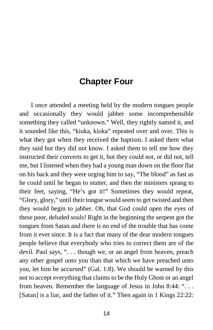# **Chapter Four**

I once attended a meeting held by the modern tongues people and occasionally they would jabber some incomprehensible something they called "unknown." Well, they rightly named it, and it sounded like this, "kiuka, kioka" repeated over and over. This is what they got when they received the baptism. I asked them what they said but they did not know. I asked them to tell me how they instructed their converts to get it, but they could not, or did not, tell me, but I listened when they had a young man down on the floor flat on his back and they were urging him to say, "The blood" as fast as he could until he began to stutter, and then the ministers sprang to their feet, saying, "He's got it!" Sometimes they would repeat, "Glory, glory," until their tongue would seem to get twisted and then they would begin to jabber. Oh, that God could open the eyes of these poor, deluded souls! Right in the beginning the serpent got the tongues from Satan and there is no end of the trouble that has come from it ever since. It is a fact that many of the dear modern tongues people believe that everybody who tries to correct them are of the devil. Paul says, ". . . though we, or an angel from heaven, preach any other gospel unto you than that which we have preached unto you, let him be accursed" (Gal. 1:8). We should be warned by this not to accept everything that claims to be the Holy Ghost or an angel from heaven. Remember the language of Jesus in John 8:44: ". . . [Satan] is a liar, and the father of it." Then again in 1 Kings 22:22: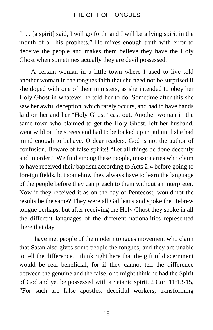". . . [a spirit] said, I will go forth, and I will be a lying spirit in the mouth of all his prophets." He mixes enough truth with error to deceive the people and makes them believe they have the Holy Ghost when sometimes actually they are devil possessed.

A certain woman in a little town where I used to live told another woman in the tongues faith that she need not be surprised if she doped with one of their ministers, as she intended to obey her Holy Ghost in whatever he told her to do. Sometime after this she saw her awful deception, which rarely occurs, and had to have hands laid on her and her "Holy Ghost" cast out. Another woman in the same town who claimed to get the Holy Ghost, left her husband, went wild on the streets and had to be locked up in jail until she had mind enough to behave. O dear readers, God is not the author of confusion. Beware of false spirits! "Let all things be done decently and in order." We find among these people, missionaries who claim to have received their baptism according to Acts 2:4 before going to foreign fields, but somehow they always have to learn the language of the people before they can preach to them without an interpreter. Now if they received it as on the day of Pentecost, would not the results be the same? They were all Galileans and spoke the Hebrew tongue perhaps, but after receiving the Holy Ghost they spoke in all the different languages of the different nationalities represented there that day.

I have met people of the modern tongues movement who claim that Satan also gives some people the tongues, and they are unable to tell the difference. I think right here that the gift of discernment would be real beneficial, for if they cannot tell the difference between the genuine and the false, one might think he had the Spirit of God and yet be possessed with a Satanic spirit. 2 Cor. 11:13-15, "For such are false apostles, deceitful workers, transforming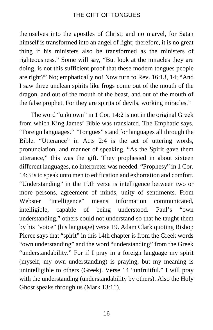themselves into the apostles of Christ; and no marvel, for Satan himself is transformed into an angel of light; therefore, it is no great thing if his ministers also be transformed as the ministers of righteousness." Some will say, "But look at the miracles they are doing, is not this sufficient proof that these modern tongues people are right?" No; emphatically no! Now turn to Rev. 16:13, 14; "And I saw three unclean spirits like frogs come out of the mouth of the dragon, and out of the mouth of the beast, and out of the mouth of the false prophet. For they are spirits of devils, working miracles."

The word "unknown" in 1 Cor. 14:2 is not in the original Greek from which King James' Bible was translated. The Emphatic says, "Foreign languages." "Tongues" stand for languages all through the Bible. "Utterance" in Acts 2:4 is the act of uttering words, pronunciation, and manner of speaking. "As the Spirit gave them utterance," this was the gift. They prophesied in about sixteen different languages, no interpreter was needed. "Prophesy" in 1 Cor. 14:3 is to speak unto men to edification and exhortation and comfort. "Understanding" in the 19th verse is intelligence between two or more persons, agreement of minds, unity of sentiments. From Webster "intelligence" means information communicated, intelligible, capable of being understood. Paul's "own understanding," others could not understand so that he taught them by his "voice" (his language) verse 19. Adam Clark quoting Bishop Pierce says that "spirit" in this 14th chapter is from the Greek words "own understanding" and the word "understanding" from the Greek "understandability." For if I pray in a foreign language my spirit (myself, my own understanding) is praying, but my meaning is unintelligible to others (Greek). Verse 14 "unfruitful." I will pray with the understanding (understandability by others). Also the Holy Ghost speaks through us (Mark 13:11).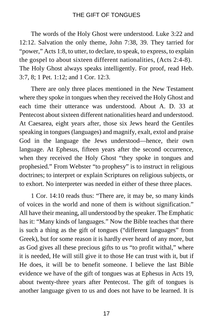The words of the Holy Ghost were understood. Luke 3:22 and 12:12. Salvation the only theme, John 7:38, 39. They tarried for "power," Acts 1:8, to utter, to declare, to speak, to express, to explain the gospel to about sixteen different nationalities, (Acts 2:4-8). The Holy Ghost always speaks intelligently. For proof, read Heb. 3:7, 8; 1 Pet. 1:12; and 1 Cor. 12:3.

There are only three places mentioned in the New Testament where they spoke in tongues when they received the Holy Ghost and each time their utterance was understood. About A. D. 33 at Pentecost about sixteen different nationalities heard and understood. At Caesarea, eight years after, those six Jews heard the Gentiles speaking in tongues (languages) and magnify, exalt, extol and praise God in the language the Jews understood—hence, their own language. At Ephesus, fifteen years after the second occurrence, when they received the Holy Ghost "they spoke in tongues and prophesied." From Webster "to prophesy" is to instruct in religious doctrines; to interpret or explain Scriptures on religious subjects, or to exhort. No interpreter was needed in either of these three places.

1 Cor. 14:10 reads thus: "There are, it may be, so many kinds of voices in the world and none of them is without signification." All have their meaning, all understood by the speaker. The Emphatic has it: "Many kinds of languages." Now the Bible teaches that there is such a thing as the gift of tongues ("different languages" from Greek), but for some reason it is hardly ever heard of any more, but as God gives all these precious gifts to us "to profit withal," where it is needed, He will still give it to those He can trust with it, but if He does, it will be to benefit someone. I believe the last Bible evidence we have of the gift of tongues was at Ephesus in Acts 19, about twenty-three years after Pentecost. The gift of tongues is another language given to us and does not have to be learned. It is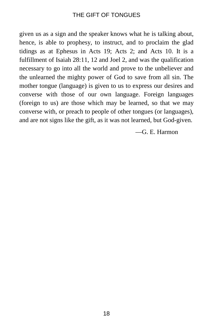given us as a sign and the speaker knows what he is talking about, hence, is able to prophesy, to instruct, and to proclaim the glad tidings as at Ephesus in Acts 19; Acts 2; and Acts 10. It is a fulfillment of Isaiah 28:11, 12 and Joel 2, and was the qualification necessary to go into all the world and prove to the unbeliever and the unlearned the mighty power of God to save from all sin. The mother tongue (language) is given to us to express our desires and converse with those of our own language. Foreign languages (foreign to us) are those which may be learned, so that we may converse with, or preach to people of other tongues (or languages), and are not signs like the gift, as it was not learned, but God-given.

—G. E. Harmon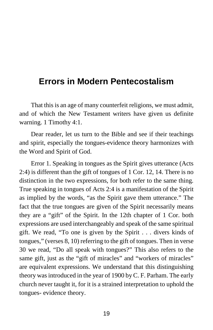# **Errors in Modern Pentecostalism**

That this is an age of many counterfeit religions, we must admit, and of which the New Testament writers have given us definite warning. 1 Timothy 4:1.

Dear reader, let us turn to the Bible and see if their teachings and spirit, especially the tongues-evidence theory harmonizes with the Word and Spirit of God.

Error 1. Speaking in tongues as the Spirit gives utterance (Acts 2:4) is different than the gift of tongues of 1 Cor. 12, 14. There is no distinction in the two expressions, for both refer to the same thing. True speaking in tongues of Acts 2:4 is a manifestation of the Spirit as implied by the words, "as the Spirit gave them utterance." The fact that the true tongues are given of the Spirit necessarily means they are a "gift" of the Spirit. In the 12th chapter of 1 Cor. both expressions are used interchangeably and speak of the same spiritual gift. We read, "To one is given by the Spirit . . . divers kinds of tongues," (verses 8, 10) referring to the gift of tongues. Then in verse 30 we read, "Do all speak with tongues?" This also refers to the same gift, just as the "gift of miracles" and "workers of miracles" are equivalent expressions. We understand that this distinguishing theory was introduced in the year of 1900 by C. F. Parham. The early church never taught it, for it is a strained interpretation to uphold the tongues- evidence theory.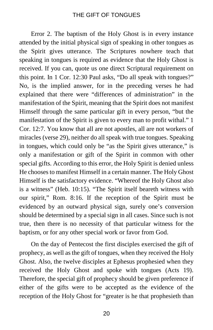Error 2. The baptism of the Holy Ghost is in every instance attended by the initial physical sign of speaking in other tongues as the Spirit gives utterance. The Scriptures nowhere teach that speaking in tongues is required as evidence that the Holy Ghost is received. If you can, quote us one direct Scriptural requirement on this point. In 1 Cor. 12:30 Paul asks, "Do all speak with tongues?" No, is the implied answer, for in the preceding verses he had explained that there were "differences of administration" in the manifestation of the Spirit, meaning that the Spirit does not manifest Himself through the same particular gift in every person, "but the manifestation of the Spirit is given to every man to profit withal." 1 Cor. 12:7. You know that all are not apostles, all are not workers of miracles (verse 29), neither do all speak with true tongues. Speaking in tongues, which could only be "as the Spirit gives utterance," is only a manifestation or gift of the Spirit in common with other special gifts. According to this error, the Holy Spirit is denied unless He chooses to manifest Himself in a certain manner. The Holy Ghost Himself is the satisfactory evidence. "Whereof the Holy Ghost also is a witness" (Heb. 10:15). "The Spirit itself beareth witness with our spirit," Rom. 8:16. If the reception of the Spirit must be evidenced by an outward physical sign, surely one's conversion should be determined by a special sign in all cases. Since such is not true, then there is no necessity of that particular witness for the baptism, or for any other special work or favor from God.

On the day of Pentecost the first disciples exercised the gift of prophecy, as well as the gift of tongues, when they received the Holy Ghost. Also, the twelve disciples at Ephesus prophesied when they received the Holy Ghost and spoke with tongues (Acts 19). Therefore, the special gift of prophecy should be given preference if either of the gifts were to be accepted as the evidence of the reception of the Holy Ghost for "greater is he that prophesieth than

20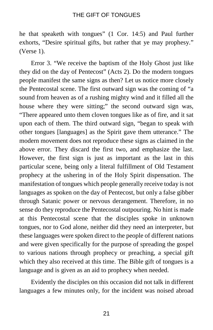he that speaketh with tongues" (1 Cor. 14:5) and Paul further exhorts, "Desire spiritual gifts, but rather that ye may prophesy." (Verse 1).

Error 3. "We receive the baptism of the Holy Ghost just like they did on the day of Pentecost" (Acts 2). Do the modern tongues people manifest the same signs as then? Let us notice more closely the Pentecostal scene. The first outward sign was the coming of "a sound from heaven as of a rushing mighty wind and it filled all the house where they were sitting;" the second outward sign was, "There appeared unto them cloven tongues like as of fire, and it sat upon each of them. The third outward sign, "began to speak with other tongues [languages] as the Spirit gave them utterance." The modern movement does not reproduce these signs as claimed in the above error. They discard the first two, and emphasize the last. However, the first sign is just as important as the last in this particular scene, being only a literal fulfillment of Old Testament prophecy at the ushering in of the Holy Spirit dispensation. The manifestation of tongues which people generally receive today is not languages as spoken on the day of Pentecost, but only a false gibber through Satanic power or nervous derangement. Therefore, in no sense do they reproduce the Pentecostal outpouring. No hint is made at this Pentecostal scene that the disciples spoke in unknown tongues, nor to God alone, neither did they need an interpreter, but these languages were spoken direct to the people of different nations and were given specifically for the purpose of spreading the gospel to various nations through prophecy or preaching, a special gift which they also received at this time. The Bible gift of tongues is a language and is given as an aid to prophecy when needed.

Evidently the disciples on this occasion did not talk in different languages a few minutes only, for the incident was noised abroad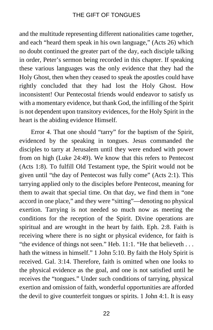and the multitude representing different nationalities came together, and each "heard them speak in his own language," (Acts 26) which no doubt continued the greater part of the day, each disciple talking in order, Peter's sermon being recorded in this chapter. If speaking these various languages was the only evidence that they had the Holy Ghost, then when they ceased to speak the apostles could have rightly concluded that they had lost the Holy Ghost. How inconsistent! Our Pentecostal friends would endeavor to satisfy us with a momentary evidence, but thank God, the infilling of the Spirit is not dependent upon transitory evidences, for the Holy Spirit in the heart is the abiding evidence Himself.

Error 4. That one should "tarry" for the baptism of the Spirit, evidenced by the speaking in tongues. Jesus commanded the disciples to tarry at Jerusalem until they were endued with power from on high (Luke 24:49). We know that this refers to Pentecost (Acts 1:8). To fulfill Old Testament type, the Spirit would not be given until "the day of Pentecost was fully come" (Acts 2:1). This tarrying applied only to the disciples before Pentecost, meaning for them to await that special time. On that day, we find them in "one accord in one place," and they were "sitting"—denoting no physical exertion. Tarrying is not needed so much now as meeting the conditions for the reception of the Spirit. Divine operations are spiritual and are wrought in the heart by faith. Eph. 2:8. Faith is receiving where there is no sight or physical evidence, for faith is "the evidence of things not seen." Heb. 11:1. "He that believeth . . . hath the witness in himself." 1 John 5:10. By faith the Holy Spirit is received. Gal. 3:14. Therefore, faith is omitted when one looks to the physical evidence as the goal, and one is not satisfied until he receives the "tongues." Under such conditions of tarrying, physical exertion and omission of faith, wonderful opportunities are afforded the devil to give counterfeit tongues or spirits. 1 John 4:1. It is easy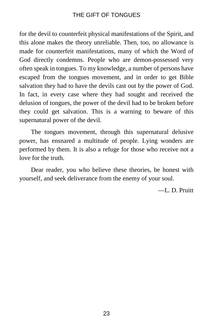for the devil to counterfeit physical manifestations of the Spirit, and this alone makes the theory unreliable. Then, too, no allowance is made for counterfeit manifestations, many of which the Word of God directly condemns. People who are demon-possessed very often speak in tongues. To my knowledge, a number of persons have escaped from the tongues movement, and in order to get Bible salvation they had to have the devils cast out by the power of God. In fact, in every case where they had sought and received the delusion of tongues, the power of the devil had to be broken before they could get salvation. This is a warning to beware of this supernatural power of the devil.

The tongues movement, through this supernatural delusive power, has ensnared a multitude of people. Lying wonders are performed by them. It is also a refuge for those who receive not a love for the truth.

Dear reader, you who believe these theories, be honest with yourself, and seek deliverance from the enemy of your soul.

—L. D. Pruitt